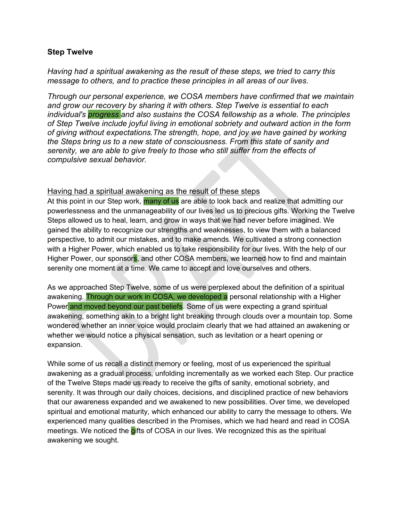### **Step Twelve**

*Having had a spiritual awakening as the result of these steps, we tried to carry this message to others, and to practice these principles in all areas of our lives.* 

*Through our personal experience, we COSA members have confirmed that we maintain and grow our recovery by sharing it with others. Step Twelve is essential to each individual's progress and also sustains the COSA fellowship as a whole. The principles of Step Twelve include joyful living in emotional sobriety and outward action in the form of giving without expectations.The strength, hope, and joy we have gained by working the Steps bring us to a new state of consciousness. From this state of sanity and serenity, we are able to give freely to those who still suffer from the effects of compulsive sexual behavior.*

#### Having had a spiritual awakening as the result of these steps

At this point in our Step work, many of us are able to look back and realize that admitting our powerlessness and the unmanageability of our lives led us to precious gifts. Working the Twelve Steps allowed us to heal, learn, and grow in ways that we had never before imagined. We gained the ability to recognize our strengths and weaknesses, to view them with a balanced perspective, to admit our mistakes, and to make amends. We cultivated a strong connection with a Higher Power, which enabled us to take responsibility for our lives. With the help of our Higher Power, our sponsors, and other COSA members, we learned how to find and maintain serenity one moment at a time. We came to accept and love ourselves and others.

As we approached Step Twelve, some of us were perplexed about the definition of a spiritual awakening. Through our work in COSA, we developed a personal relationship with a Higher Power and moved beyond our past beliefs. Some of us were expecting a grand spiritual awakening, something akin to a bright light breaking through clouds over a mountain top. Some wondered whether an inner voice would proclaim clearly that we had attained an awakening or whether we would notice a physical sensation, such as levitation or a heart opening or expansion.

While some of us recall a distinct memory or feeling, most of us experienced the spiritual awakening as a gradual process, unfolding incrementally as we worked each Step. Our practice of the Twelve Steps made us ready to receive the gifts of sanity, emotional sobriety, and serenity. It was through our daily choices, decisions, and disciplined practice of new behaviors that our awareness expanded and we awakened to new possibilities. Over time, we developed spiritual and emotional maturity, which enhanced our ability to carry the message to others. We experienced many qualities described in the Promises, which we had heard and read in COSA meetings. We noticed the gifts of COSA in our lives. We recognized this as the spiritual awakening we sought.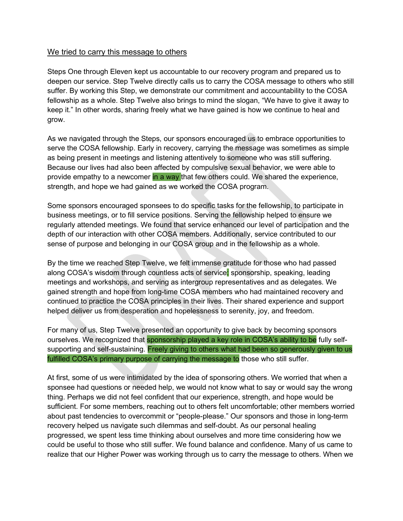#### We tried to carry this message to others

Steps One through Eleven kept us accountable to our recovery program and prepared us to deepen our service. Step Twelve directly calls us to carry the COSA message to others who still suffer. By working this Step, we demonstrate our commitment and accountability to the COSA fellowship as a whole. Step Twelve also brings to mind the slogan, "We have to give it away to keep it." In other words, sharing freely what we have gained is how we continue to heal and grow.

As we navigated through the Steps, our sponsors encouraged us to embrace opportunities to serve the COSA fellowship. Early in recovery, carrying the message was sometimes as simple as being present in meetings and listening attentively to someone who was still suffering. Because our lives had also been affected by compulsive sexual behavior, we were able to provide empathy to a newcomer in a way that few others could. We shared the experience, strength, and hope we had gained as we worked the COSA program.

Some sponsors encouraged sponsees to do specific tasks for the fellowship, to participate in business meetings, or to fill service positions. Serving the fellowship helped to ensure we regularly attended meetings. We found that service enhanced our level of participation and the depth of our interaction with other COSA members. Additionally, service contributed to our sense of purpose and belonging in our COSA group and in the fellowship as a whole.

By the time we reached Step Twelve, we felt immense gratitude for those who had passed along COSA's wisdom through countless acts of service: sponsorship, speaking, leading meetings and workshops, and serving as intergroup representatives and as delegates. We gained strength and hope from long-time COSA members who had maintained recovery and continued to practice the COSA principles in their lives. Their shared experience and support helped deliver us from desperation and hopelessness to serenity, joy, and freedom.

For many of us, Step Twelve presented an opportunity to give back by becoming sponsors ourselves. We recognized that **sponsorship played a key role in COSA's ability to be fully self**supporting and self-sustaining. Freely giving to others what had been so generously given to us fulfilled COSA's primary purpose of carrying the message to those who still suffer.

At first, some of us were intimidated by the idea of sponsoring others. We worried that when a sponsee had questions or needed help, we would not know what to say or would say the wrong thing. Perhaps we did not feel confident that our experience, strength, and hope would be sufficient. For some members, reaching out to others felt uncomfortable; other members worried about past tendencies to overcommit or "people-please." Our sponsors and those in long-term recovery helped us navigate such dilemmas and self-doubt. As our personal healing progressed, we spent less time thinking about ourselves and more time considering how we could be useful to those who still suffer. We found balance and confidence. Many of us came to realize that our Higher Power was working through us to carry the message to others. When we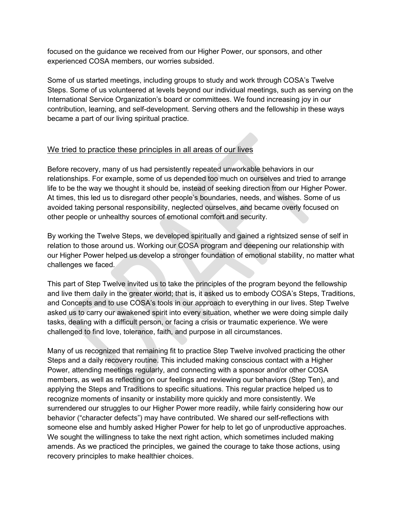focused on the guidance we received from our Higher Power, our sponsors, and other experienced COSA members, our worries subsided.

Some of us started meetings, including groups to study and work through COSA's Twelve Steps. Some of us volunteered at levels beyond our individual meetings, such as serving on the International Service Organization's board or committees. We found increasing joy in our contribution, learning, and self-development. Serving others and the fellowship in these ways became a part of our living spiritual practice.

## We tried to practice these principles in all areas of our lives

Before recovery, many of us had persistently repeated unworkable behaviors in our relationships. For example, some of us depended too much on ourselves and tried to arrange life to be the way we thought it should be, instead of seeking direction from our Higher Power. At times, this led us to disregard other people's boundaries, needs, and wishes. Some of us avoided taking personal responsibility, neglected ourselves, and became overly focused on other people or unhealthy sources of emotional comfort and security.

By working the Twelve Steps, we developed spiritually and gained a rightsized sense of self in relation to those around us. Working our COSA program and deepening our relationship with our Higher Power helped us develop a stronger foundation of emotional stability, no matter what challenges we faced.

This part of Step Twelve invited us to take the principles of the program beyond the fellowship and live them daily in the greater world; that is, it asked us to embody COSA's Steps, Traditions, and Concepts and to use COSA's tools in our approach to everything in our lives. Step Twelve asked us to carry our awakened spirit into every situation, whether we were doing simple daily tasks, dealing with a difficult person, or facing a crisis or traumatic experience. We were challenged to find love, tolerance, faith, and purpose in all circumstances.

Many of us recognized that remaining fit to practice Step Twelve involved practicing the other Steps and a daily recovery routine. This included making conscious contact with a Higher Power, attending meetings regularly, and connecting with a sponsor and/or other COSA members, as well as reflecting on our feelings and reviewing our behaviors (Step Ten), and applying the Steps and Traditions to specific situations. This regular practice helped us to recognize moments of insanity or instability more quickly and more consistently. We surrendered our struggles to our Higher Power more readily, while fairly considering how our behavior ("character defects") may have contributed. We shared our self-reflections with someone else and humbly asked Higher Power for help to let go of unproductive approaches. We sought the willingness to take the next right action, which sometimes included making amends. As we practiced the principles, we gained the courage to take those actions, using recovery principles to make healthier choices.